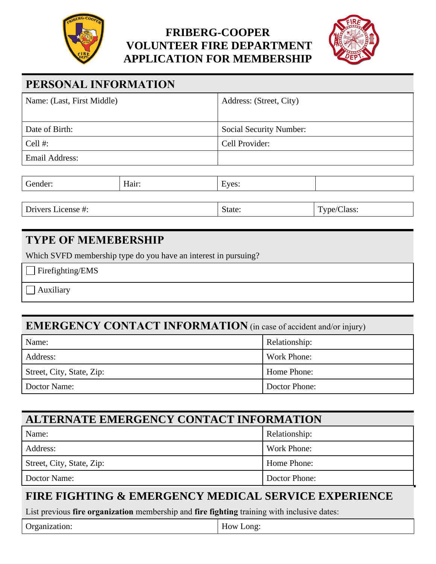

### **FRIBERG-COOPER VOLUNTEER FIRE DEPARTMENT APPLICATION FOR MEMBERSHIP**



## **PERSONAL INFORMATION**

| Name: (Last, First Middle) | Address: (Street, City)        |  |  |
|----------------------------|--------------------------------|--|--|
|                            |                                |  |  |
| Date of Birth:             | <b>Social Security Number:</b> |  |  |
| Cell $#$ :                 | Cell Provider:                 |  |  |
| Email Address:             |                                |  |  |
|                            |                                |  |  |
|                            |                                |  |  |

| $\sim$<br>المعاصر الصاحبات<br>- 1021 | 0.11 | $  -$<br>$\mathbf{v}$ |  |
|--------------------------------------|------|-----------------------|--|
|                                      |      |                       |  |
|                                      |      |                       |  |

Drivers License #: State: Type/Class:

#### **TYPE OF MEMEBERSHIP**

Which SVFD membership type do you have an interest in pursuing?

Firefighting/EMS

Auxiliary

#### **EMERGENCY CONTACT INFORMATION** (in case of accident and/or injury)

| Name:                     | Relationship: |
|---------------------------|---------------|
| Address:                  | Work Phone:   |
| Street, City, State, Zip: | Home Phone:   |
| Doctor Name:              | Doctor Phone: |

| ALTERNATE EMERGENCY CONTACT INFORMATION |               |  |
|-----------------------------------------|---------------|--|
| Name:                                   | Relationship: |  |
| Address:                                | Work Phone:   |  |
| Street, City, State, Zip:               | Home Phone:   |  |
| Doctor Name:                            | Doctor Phone: |  |

#### **FIRE FIGHTING & EMERGENCY MEDICAL SERVICE EXPERIENCE**

List previous **fire organization** membership and **fire fighting** training with inclusive dates:

| Organization: | $ -$<br>How Long: |
|---------------|-------------------|
|---------------|-------------------|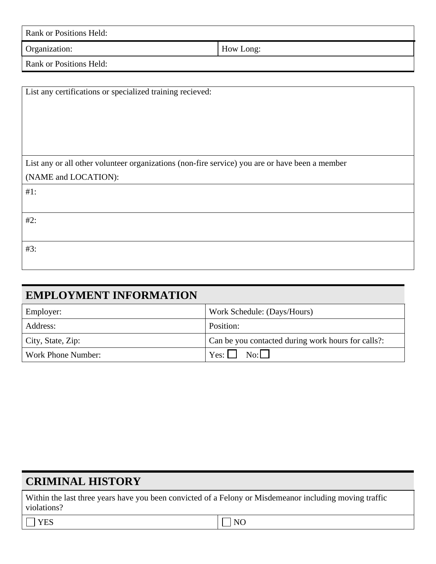| Rank or Positions Held: |           |
|-------------------------|-----------|
| Organization:           | How Long: |
| Rank or Positions Held: |           |

| List any certifications or specialized training recieved:                                      |
|------------------------------------------------------------------------------------------------|
|                                                                                                |
|                                                                                                |
|                                                                                                |
|                                                                                                |
|                                                                                                |
|                                                                                                |
| List any or all other volunteer organizations (non-fire service) you are or have been a member |
| (NAME and LOCATION):                                                                           |
| $#1$ :                                                                                         |
|                                                                                                |
| #2:                                                                                            |
|                                                                                                |
| #3:                                                                                            |
|                                                                                                |

| <b>EMPLOYMENT INFORMATION</b> |                                                    |
|-------------------------------|----------------------------------------------------|
| Employer:                     | Work Schedule: (Days/Hours)                        |
| Address:                      | Position:                                          |
| City, State, Zip:             | Can be you contacted during work hours for calls?: |
| Work Phone Number:            | No:<br>$Yes: \Box$                                 |

## **CRIMINAL HISTORY**

Within the last three years have you been convicted of a Felony or Misdemeanor including moving traffic violations?

| YES |  | $\Box$ NO |
|-----|--|-----------|
|     |  |           |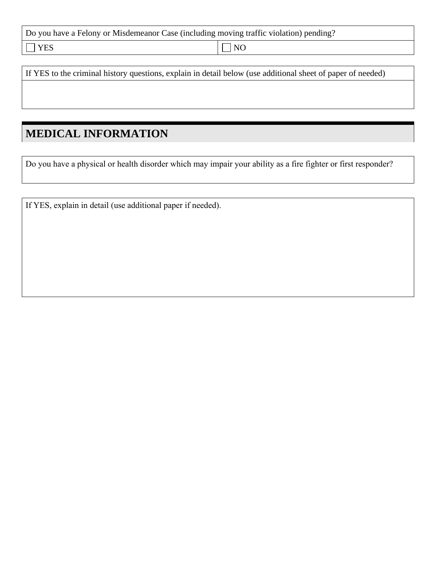|  |  | Do you have a Felony or Misdemeanor Case (including moving traffic violation) pending? |
|--|--|----------------------------------------------------------------------------------------|
|  |  |                                                                                        |

YES NO

If YES to the criminal history questions, explain in detail below (use additional sheet of paper of needed)

## **MEDICAL INFORMATION**

Do you have a physical or health disorder which may impair your ability as a fire fighter or first responder?

If YES, explain in detail (use additional paper if needed).